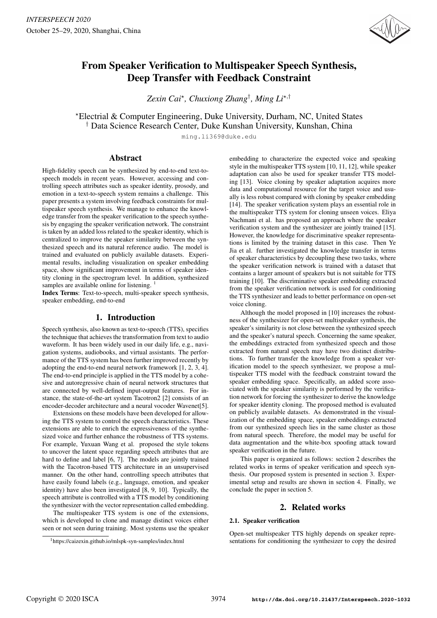

# From Speaker Verification to Multispeaker Speech Synthesis, Deep Transfer with Feedback Constraint

*Zexin Cai*? *, Chuxiong Zhang*† *, Ming Li*?,†

?Electrial & Computer Engineering, Duke University, Durham, NC, United States † Data Science Research Center, Duke Kunshan University, Kunshan, China

ming.li369@duke.edu

# Abstract

High-fidelity speech can be synthesized by end-to-end text-tospeech models in recent years. However, accessing and controlling speech attributes such as speaker identity, prosody, and emotion in a text-to-speech system remains a challenge. This paper presents a system involving feedback constraints for multispeaker speech synthesis. We manage to enhance the knowledge transfer from the speaker verification to the speech synthesis by engaging the speaker verification network. The constraint is taken by an added loss related to the speaker identity, which is centralized to improve the speaker similarity between the synthesized speech and its natural reference audio. The model is trained and evaluated on publicly available datasets. Experimental results, including visualization on speaker embedding space, show significant improvement in terms of speaker identity cloning in the spectrogram level. In addition, synthesized samples are available online for listening.<sup>1</sup>

Index Terms: Text-to-speech, multi-speaker speech synthesis, speaker embedding, end-to-end

# 1. Introduction

Speech synthesis, also known as text-to-speech (TTS), specifies the technique that achieves the transformation from text to audio waveform. It has been widely used in our daily life, e.g., navigation systems, audiobooks, and virtual assistants. The performance of the TTS system has been further improved recently by adopting the end-to-end neural network framework [1, 2, 3, 4]. The end-to-end principle is applied in the TTS model by a cohesive and autoregressive chain of neural network structures that are connected by well-defined input-output features. For instance, the state-of-the-art system Tacotron2 [2] consists of an encoder-decoder architecture and a neural vocoder Wavenet[5].

Extensions on these models have been developed for allowing the TTS system to control the speech characteristics. These extensions are able to enrich the expressiveness of the synthesized voice and further enhance the robustness of TTS systems. For example, Yuxuan Wang et al. proposed the style tokens to uncover the latent space regarding speech attributes that are hard to define and label [6, 7]. The models are jointly trained with the Tacotron-based TTS architecture in an unsupervised manner. On the other hand, controlling speech attributes that have easily found labels (e.g., language, emotion, and speaker identity) have also been investigated [8, 9, 10]. Typically, the speech attribute is controlled with a TTS model by conditioning the synthesizer with the vector representation called embedding.

The multispeaker TTS system is one of the extensions, which is developed to clone and manage distinct voices either seen or not seen during training. Most systems use the speaker embedding to characterize the expected voice and speaking style in the multispeaker TTS system [10, 11, 12], while speaker adaptation can also be used for speaker transfer TTS modeling [13]. Voice cloning by speaker adaptation acquires more data and computational resource for the target voice and usually is less robust compared with cloning by speaker embedding [14]. The speaker verification system plays an essential role in the multispeaker TTS system for cloning unseen voices. Eliya Nachmani et al. has proposed an approach where the speaker verification system and the synthesizer are jointly trained [15]. However, the knowledge for discriminative speaker representations is limited by the training dataset in this case. Then Ye Jia et al. further investigated the knowledge transfer in terms of speaker characteristics by decoupling these two tasks, where the speaker verification network is trained with a dataset that contains a larger amount of speakers but is not suitable for TTS training [10]. The discriminative speaker embedding extracted from the speaker verification network is used for conditioning the TTS synthesizer and leads to better performance on open-set voice cloning.

Although the model proposed in [10] increases the robustness of the synthesizer for open-set multispeaker synthesis, the speaker's similarity is not close between the synthesized speech and the speaker's natural speech. Concerning the same speaker, the embeddings extracted from synthesized speech and those extracted from natural speech may have two distinct distributions. To further transfer the knowledge from a speaker verification model to the speech synthesizer, we propose a multispeaker TTS model with the feedback constraint toward the speaker embedding space. Specifically, an added score associated with the speaker similarity is performed by the verification network for forcing the synthesizer to derive the knowledge for speaker identity cloning. The proposed method is evaluated on publicly available datasets. As demonstrated in the visualization of the embedding space, speaker embeddings extracted from our synthesized speech lies in the same cluster as those from natural speech. Therefore, the model may be useful for data augmentation and the white-box spoofing attack toward speaker verification in the future.

This paper is organized as follows: section 2 describes the related works in terms of speaker verification and speech synthesis. Our proposed system is presented in section 3. Experimental setup and results are shown in section 4. Finally, we conclude the paper in section 5.

## 2. Related works

#### 2.1. Speaker verification

Open-set multispeaker TTS highly depends on speaker representations for conditioning the synthesizer to copy the desired

<sup>1</sup>https://caizexin.github.io/mlspk-syn-samples/index.html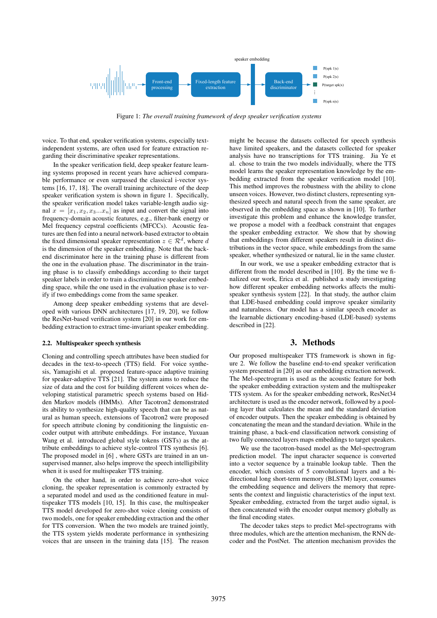

Figure 1: *The overall training framework of deep speaker verification systems*

voice. To that end, speaker verification systems, especially textindependent systems, are often used for feature extraction regarding their discriminative speaker representations.

In the speaker verification field, deep speaker feature learning systems proposed in recent years have achieved comparable performance or even surpassed the classical i-vector systems [16, 17, 18]. The overall training architecture of the deep speaker verification system is shown in figure 1. Specifically, the speaker verification model takes variable-length audio signal  $x = [x_1, x_2, x_3...x_n]$  as input and convert the signal into frequency-domain acoustic features, e.g., filter-bank energy or Mel frequency cepstral coefficients (MFCCs). Acoustic features are then fed into a neural network-based extractor to obtain the fixed dimensional speaker representation  $z \in \mathcal{R}^d$ , where d is the dimension of the speaker embedding. Note that the backend discriminator here in the training phase is different from the one in the evaluation phase. The discriminator in the training phase is to classify embeddings according to their target speaker labels in order to train a discriminative speaker embedding space, while the one used in the evaluation phase is to verify if two embeddings come from the same speaker.

Among deep speaker embedding systems that are developed with various DNN architectures [17, 19, 20], we follow the ResNet-based verification system [20] in our work for embedding extraction to extract time-invariant speaker embedding.

#### 2.2. Multispeaker speech synthesis

Cloning and controlling speech attributes have been studied for decades in the text-to-speech (TTS) field. For voice synthesis, Yamagishi et al. proposed feature-space adaptive training for speaker-adaptive TTS [21]. The system aims to reduce the size of data and the cost for building different voices when developing statistical parametric speech systems based on Hidden Markov models (HMMs). After Tacotron2 demonstrated its ability to synthesize high-quality speech that can be as natural as human speech, extensions of Tacotron2 were proposed for speech attribute cloning by conditioning the linguistic encoder output with attribute embeddings. For instance, Yuxuan Wang et al. introduced global style tokens (GSTs) as the attribute embeddings to achieve style-control TTS synthesis [6]. The proposed model in [6] , where GSTs are trained in an unsupervised manner, also helps improve the speech intelligibility when it is used for multispeaker TTS training.

On the other hand, in order to achieve zero-shot voice cloning, the speaker representation is commonly extracted by a separated model and used as the conditioned feature in multispeaker TTS models [10, 15]. In this case, the multispeaker TTS model developed for zero-shot voice cloning consists of two models, one for speaker embedding extraction and the other for TTS conversion. When the two models are trained jointly, the TTS system yields moderate performance in synthesizing voices that are unseen in the training data [15]. The reason

might be because the datasets collected for speech synthesis have limited speakers, and the datasets collected for speaker analysis have no transcriptions for TTS training. Jia Ye et al. chose to train the two models individually, where the TTS model learns the speaker representation knowledge by the embedding extracted from the speaker verification model [10]. This method improves the robustness with the ability to clone unseen voices. However, two distinct clusters, representing synthesized speech and natural speech from the same speaker, are observed in the embedding space as shown in [10]. To further investigate this problem and enhance the knowledge transfer, we propose a model with a feedback constraint that engages the speaker embedding extractor. We show that by showing that embeddings from different speakers result in distinct distributions in the vector space, while embeddings from the same speaker, whether synthesized or natural, lie in the same cluster.

In our work, we use a speaker embedding extractor that is different from the model described in [10]. By the time we finalized our work, Erica et al. published a study investigating how different speaker embedding networks affects the multispeaker synthesis system [22]. In that study, the author claim that LDE-based embedding could improve speaker similarity and naturalness. Our model has a similar speech encoder as the learnable dictionary encoding-based (LDE-based) systems described in [22].

### 3. Methods

Our proposed multispeaker TTS framework is shown in figure 2. We follow the baseline end-to-end speaker verification system presented in [20] as our embedding extraction network. The Mel-spectrogram is used as the acoustic feature for both the speaker embedding extraction system and the multispeaker TTS system. As for the speaker embedding network, ResNet34 architecture is used as the encoder network, followed by a pooling layer that calculates the mean and the standard deviation of encoder outputs. Then the speaker embedding is obtained by concatenating the mean and the standard deviation. While in the training phase, a back-end classification network consisting of two fully connected layers maps embeddings to target speakers.

We use the tacotron-based model as the Mel-spectrogram prediction model. The input character sequence is converted into a vector sequence by a trainable lookup table. Then the encoder, which consists of 5 convolutional layers and a bidirectional long short-term memory (BLSTM) layer, consumes the embedding sequence and delivers the memory that represents the context and linguistic characteristics of the input text. Speaker embedding, extracted from the target audio signal, is then concatenated with the encoder output memory globally as the final encoding states.

The decoder takes steps to predict Mel-spectrograms with three modules, which are the attention mechanism, the RNN decoder and the PostNet. The attention mechanism provides the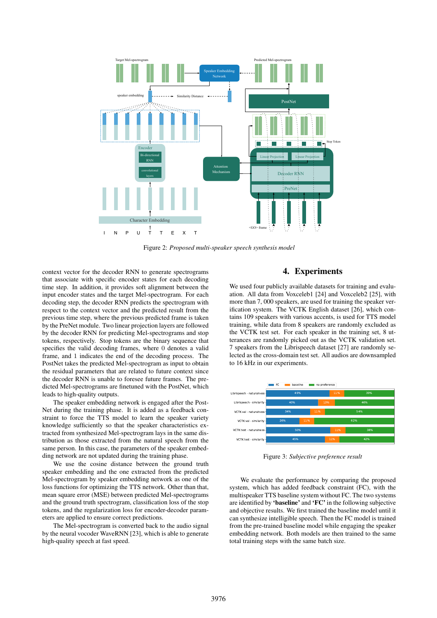

Figure 2: *Proposed multi-speaker speech synthesis model*

context vector for the decoder RNN to generate spectrograms that associate with specific encoder states for each decoding time step. In addition, it provides soft alignment between the input encoder states and the target Mel-spectrogram. For each decoding step, the decoder RNN predicts the spectrogram with respect to the context vector and the predicted result from the previous time step, where the previous predicted frame is taken by the PreNet module. Two linear projection layers are followed by the decoder RNN for predicting Mel-spectrograms and stop tokens, respectively. Stop tokens are the binary sequence that specifies the valid decoding frames, where 0 denotes a valid frame, and 1 indicates the end of the decoding process. The PostNet takes the predicted Mel-spectrogram as input to obtain the residual parameters that are related to future context since the decoder RNN is unable to foresee future frames. The predicted Mel-spectrograms are finetuned with the PostNet, which leads to high-quality outputs.

The speaker embedding network is engaged after the Post-Net during the training phase. It is added as a feedback constraint to force the TTS model to learn the speaker variety knowledge sufficiently so that the speaker characteristics extracted from synthesized Mel-spectrogram lays in the same distribution as those extracted from the natural speech from the same person. In this case, the parameters of the speaker embedding network are not updated during the training phase.

We use the cosine distance between the ground truth speaker embedding and the one extracted from the predicted Mel-spectrogram by speaker embedding network as one of the loss functions for optimizing the TTS network. Other than that, mean square error (MSE) between predicted Mel-spectrograms and the ground truth spectrogram, classification loss of the stop tokens, and the regularization loss for encoder-decoder parameters are applied to ensure correct predictions.

The Mel-spectrogram is converted back to the audio signal by the neural vocoder WaveRNN [23], which is able to generate high-quality speech at fast speed.

# 4. Experiments

We used four publicly available datasets for training and evaluation. All data from Voxceleb1 [24] and Voxceleb2 [25], with more than 7, 000 speakers, are used for training the speaker verification system. The VCTK English dataset [26], which contains 109 speakers with various accents, is used for TTS model training, while data from 8 speakers are randomly excluded as the VCTK test set. For each speaker in the training set, 8 utterances are randomly picked out as the VCTK validation set. 7 speakers from the Librispeech dataset [27] are randomly selected as the cross-domain test set. All audios are downsampled to 16 kHz in our experiments.



Figure 3: *Subjective preference result*

We evaluate the performance by comparing the proposed system, which has added feedback constraint (FC), with the multispeaker TTS baseline system without FC. The two systems are identified by 'baseline' and 'FC' in the following subjective and objective results. We first trained the baseline model until it can synthesize intelligible speech. Then the FC model is trained from the pre-trained baseline model while engaging the speaker embedding network. Both models are then trained to the same total training steps with the same batch size.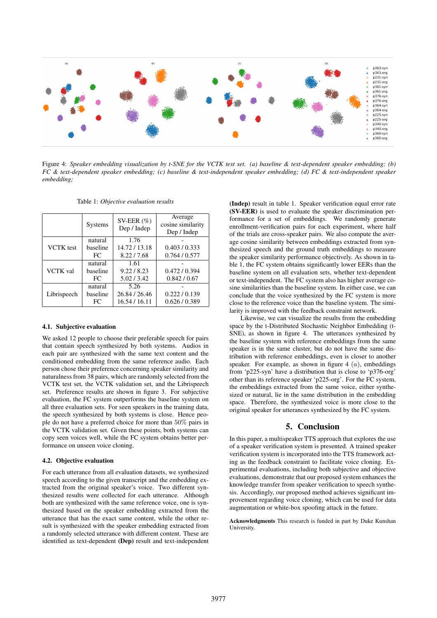

Figure 4: *Speaker embedding visualization by t-SNE for the VCTK test set. (a) baseline & text-dependent speaker embedding; (b) FC & text-dependent speaker embedding; (c) baseline & text-independent speaker embedding; (d) FC & text-independent speaker embedding;*

Table 1: *Objective evaluation results*

|                  | <b>Systems</b> | SV-EER $(\% )$<br>Dep / Indep | Average<br>cosine similarity<br>Dep / Indep |
|------------------|----------------|-------------------------------|---------------------------------------------|
| <b>VCTK</b> test | natural        | 1.76                          |                                             |
|                  | baseline       | 14.72/13.18                   | 0.403 / 0.333                               |
|                  | FC.            | 8.22/7.68                     | 0.764/0.577                                 |
| <b>VCTK</b> val  | natural        | 1.61                          |                                             |
|                  | baseline       | 9.22 / 8.23                   | 0.472/0.394                                 |
|                  | FC.            | 5.02/3.42                     | 0.842 / 0.67                                |
| Librispeech      | natural        | 5.26                          |                                             |
|                  | baseline       | 26.84 / 26.46                 | 0.222 / 0.139                               |
|                  | FC             | 16.54 / 16.11                 | 0.626 / 0.389                               |

#### 4.1. Subjective evaluation

We asked 12 people to choose their preferable speech for pairs that contain speech synthesized by both systems. Audios in each pair are synthesized with the same text content and the conditioned embedding from the same reference audio. Each person chose their preference concerning speaker similarity and naturalness from 38 pairs, which are randomly selected from the VCTK test set, the VCTK validation set, and the Librispeech set. Preference results are shown in figure 3. For subjective evaluation, the FC system outperforms the baseline system on all three evaluation sets. For seen speakers in the training data, the speech synthesized by both systems is close. Hence people do not have a preferred choice for more than 50% pairs in the VCTK validation set. Given these points, both systems can copy seen voices well, while the FC system obtains better performance on unseen voice cloning.

#### 4.2. Objective evaluation

For each utterance from all evaluation datasets, we synthesized speech according to the given transcript and the embedding extracted from the original speaker's voice. Two different synthesized results were collected for each utterance. Although both are synthesized with the same reference voice, one is synthesized based on the speaker embedding extracted from the utterance that has the exact same content, while the other result is synthesized with the speaker embedding extracted from a randomly selected utterance with different content. These are identified as text-dependent (Dep) result and text-independent (Indep) result in table 1. Speaker verification equal error rate (SV-EER) is used to evaluate the speaker discrimination performance for a set of embeddings. We randomly generate enrollment-verification pairs for each experiment, where half of the trials are cross-speaker pairs. We also compute the average cosine similarity between embeddings extracted from synthesized speech and the ground truth embeddings to measure the speaker similarity performance objectively. As shown in table 1, the FC system obtains significantly lower EERs than the baseline system on all evaluation sets, whether text-dependent or text-independent. The FC system also has higher average cosine similarities than the baseline system. In either case, we can conclude that the voice synthesized by the FC system is more close to the reference voice than the baseline system. The similarity is improved with the feedback constraint network.

Likewise, we can visualize the results from the embedding space by the t-Distributed Stochastic Neighbor Embedding (t-SNE), as shown in figure 4. The utterances synthesized by the baseline system with reference embeddings from the same speaker is in the same cluster, but do not have the same distribution with reference embeddings, even is closer to another speaker. For example, as shown in figure 4  $(a)$ , embeddings from 'p225-syn' have a distribution that is close to 'p376-org' other than its reference speaker 'p225-org'. For the FC system, the embeddings extracted from the same voice, either synthesized or natural, lie in the same distribution in the embedding space. Therefore, the synthesized voice is more close to the original speaker for utterances synthesized by the FC system.

#### 5. Conclusion

In this paper, a multispeaker TTS approach that explores the use of a speaker verification system is presented. A trained speaker verification system is incorporated into the TTS framework acting as the feedback constraint to facilitate voice cloning. Experimental evaluations, including both subjective and objective evaluations, demonstrate that our proposed system enhances the knowledge transfer from speaker verification to speech synthesis. Accordingly, our proposed method achieves significant improvement regarding voice cloning, which can be used for data augmentation or white-box spoofing attack in the future.

Acknowledgments This research is funded in part by Duke Kunshan University.